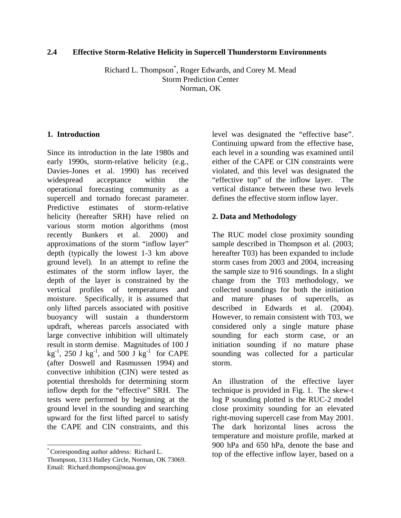### **2.4 Effective Storm-Relative Helicity in Supercell Thunderstorm Environments**

Richard L. Thompson\* , Roger Edwards, and Corey M. Mead Storm Prediction Center Norman, OK

# **1. Introduction**

Since its introduction in the late 1980s and early 1990s, storm-relative helicity (e.g., Davies-Jones et al. 1990) has received widespread acceptance within the operational forecasting community as a supercell and tornado forecast parameter. Predictive estimates of storm-relative helicity (hereafter SRH) have relied on various storm motion algorithms (most recently Bunkers et al. 2000) and approximations of the storm "inflow layer" depth (typically the lowest 1-3 km above ground level). In an attempt to refine the estimates of the storm inflow layer, the depth of the layer is constrained by the vertical profiles of temperatures and moisture. Specifically, it is assumed that only lifted parcels associated with positive buoyancy will sustain a thunderstorm updraft, whereas parcels associated with large convective inhibition will ultimately result in storm demise. Magnitudes of 100 J  $kg^{-1}$ , 250 J kg<sup>-1</sup>, and 500 J kg<sup>-1</sup> for CAPE ([a](#page-0-0)fter Doswell and Rasmussen 1994) and convective inhibition (CIN) were tested as potential thresholds for determining storm inflow depth for the "effective" SRH. The tests were performed by beginning at the ground level in the sounding and searching upward for the first lifted parcel to satisfy the CAPE and CIN constraints, and this

 $\overline{a}$ 

level was designated the "effective base". Continuing upward from the effective base, each level in a sounding was examined until either of the CAPE or CIN constraints were violated, and this level was designated the "effective top" of the inflow layer. The vertical distance between these two levels defines the effective storm inflow layer.

# **2. Data and Methodology**

The RUC model close proximity sounding sample described in Thompson et al. (2003; hereafter T03) has been expanded to include storm cases from 2003 and 2004, increasing the sample size to 916 soundings. In a slight change from the T03 methodology, we collected soundings for both the initiation and mature phases of supercells, as described in Edwards et al. (2004). However, to remain consistent with T03, we considered only a single mature phase sounding for each storm case, or an initiation sounding if no mature phase sounding was collected for a particular storm.

An illustration of the effective layer technique is provided in Fig. 1. The skew-t log P sounding plotted is the RUC-2 model close proximity sounding for an elevated right-moving supercell case from May 2001. The dark horizontal lines across the temperature and moisture profile, marked at 900 hPa and 650 hPa, denote the base and top of the effective inflow layer, based on a

<span id="page-0-0"></span><sup>\*</sup> Corresponding author address: Richard L. Thompson, 1313 Halley Circle, Norman, OK 73069. Email: Richard.thompson@noaa.gov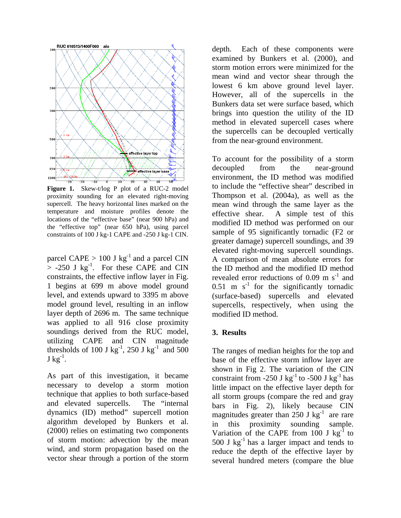

**Figure 1.** Skew-t/log P plot of a RUC-2 model proximity sounding for an elevated right-moving supercell. The heavy horizontal lines marked on the temperature and moisture profiles denote the locations of the "effective base" (near 900 hPa) and the "effective top" (near 650 hPa), using parcel constraints of 100 J kg-1 CAPE and -250 J kg-1 CIN.

parcel CAPE  $> 100$  J kg<sup>-1</sup> and a parcel CIN  $>$  -250 J kg<sup>-1</sup>. For these CAPE and CIN constraints, the effective inflow layer in Fig. 1 begins at 699 m above model ground level, and extends upward to 3395 m above model ground level, resulting in an inflow layer depth of 2696 m. The same technique was applied to all 916 close proximity soundings derived from the RUC model, utilizing CAPE and CIN magnitude thresholds of 100 J kg<sup>-1</sup>, 250 J kg<sup>-1</sup> and 500  $J kg^{-1}$ .

As part of this investigation, it became necessary to develop a storm motion technique that applies to both surface-based and elevated supercells. The "internal dynamics (ID) method" supercell motion algorithm developed by Bunkers et al. (2000) relies on estimating two components of storm motion: advection by the mean wind, and storm propagation based on the vector shear through a portion of the storm

depth. Each of these components were examined by Bunkers et al. (2000), and storm motion errors were minimized for the mean wind and vector shear through the lowest 6 km above ground level layer. However, all of the supercells in the Bunkers data set were surface based, which brings into question the utility of the ID method in elevated supercell cases where the supercells can be decoupled vertically from the near-ground environment.

To account for the possibility of a storm decoupled from the near-ground environment, the ID method was modified to include the "effective shear" described in Thompson et al. (2004a), as well as the mean wind through the same layer as the effective shear. A simple test of this modified ID method was performed on our sample of 95 significantly tornadic (F2 or greater damage) supercell soundings, and 39 elevated right-moving supercell soundings. A comparison of mean absolute errors for the ID method and the modified ID method revealed error reductions of 0.09 m  $s^{-1}$  and  $0.51$  m s<sup>-1</sup> for the significantly tornadic (surface-based) supercells and elevated supercells, respectively, when using the modified ID method.

### **3. Results**

The ranges of median heights for the top and base of the effective storm inflow layer are shown in Fig 2. The variation of the CIN constraint from -250 J kg<sup>-1</sup> to -500 J kg<sup>-1</sup> has little impact on the effective layer depth for all storm groups (compare the red and gray bars in Fig. 2), likely because CIN magnitudes greater than  $250$  J kg<sup>-1</sup> are rare in this proximity sounding sample. Variation of the CAPE from 100 J  $\text{kg}^{-1}$  to 500 J  $kg^{-1}$  has a larger impact and tends to reduce the depth of the effective layer by several hundred meters (compare the blue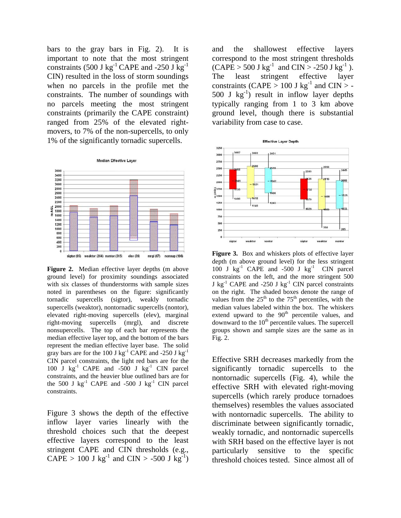bars to the gray bars in Fig. 2). It is important to note that the most stringent constraints (500 J kg<sup>-1</sup> CAPE and -250 J kg<sup>-1</sup> CIN) resulted in the loss of storm soundings when no parcels in the profile met the constraints. The number of soundings with no parcels meeting the most stringent constraints (primarily the CAPE constraint) ranged from 25% of the elevated rightmovers, to 7% of the non-supercells, to only 1% of the significantly tornadic supercells.



**Figure 2.** Median effective layer depths (m above ground level) for proximity soundings associated with six classes of thunderstorms with sample sizes noted in parentheses on the figure: significantly tornadic supercells (sigtor), weakly tornadic supercells (weaktor), nontornadic supercells (nontor), elevated right-moving supercells (elev), marginal right-moving supercells (mrgl), and discrete nonsupercells. The top of each bar represents the median effective layer top, and the bottom of the bars represent the median effective layer base. The solid gray bars are for the 100 J kg<sup>-1</sup> CAPE and -250 J kg<sup>-1</sup> CIN parcel constraints, the light red bars are for the 100 J  $\text{kg}^{-1}$  CAPE and -500 J  $\text{kg}^{-1}$  CIN parcel constraints, and the heavier blue outlined bars are for the 500 J  $kg^{-1}$  CAPE and -500 J  $kg^{-1}$  CIN parcel constraints.

Figure 3 shows the depth of the effective inflow layer varies linearly with the threshold choices such that the deepest effective layers correspond to the least stringent CAPE and CIN thresholds (e.g.,  $CAPE > 100$  J kg<sup>-1</sup> and  $CIN > -500$  J kg<sup>-1</sup>)

and the shallowest effective layers correspond to the most stringent thresholds  $(CAPE > 500 \text{ J kg}^{-1} \text{ and } CIN > -250 \text{ J kg}^{-1}$ . The least stringent effective layer constraints (CAPE > 100 J kg<sup>-1</sup> and CIN > -500 J  $kg^{-1}$ ) result in inflow layer depths typically ranging from 1 to 3 km above ground level, though there is substantial variability from case to case.



**Figure 3.** Box and whiskers plots of effective layer depth (m above ground level) for the less stringent 100 J  $kg^{-1}$  CAPE and -500 J  $kg^{-1}$  CIN parcel constraints on the left, and the more stringent 500 J  $kg^{-1}$  CAPE and -250 J  $kg^{-1}$  CIN parcel constraints on the right. The shaded boxes denote the range of values from the  $25<sup>th</sup>$  to the  $75<sup>th</sup>$  percentiles, with the median values labeled within the box. The whiskers extend upward to the  $90<sup>th</sup>$  percentile values, and downward to the  $10<sup>th</sup>$  percentile values. The supercell groups shown and sample sizes are the same as in Fig. 2.

Effective SRH decreases markedly from the significantly tornadic supercells to the nontornadic supercells (Fig. 4), while the effective SRH with elevated right-moving supercells (which rarely produce tornadoes themselves) resembles the values associated with nontornadic supercells. The ability to discriminate between significantly tornadic, weakly tornadic, and nontornadic supercells with SRH based on the effective layer is not particularly sensitive to the specific threshold choices tested. Since almost all of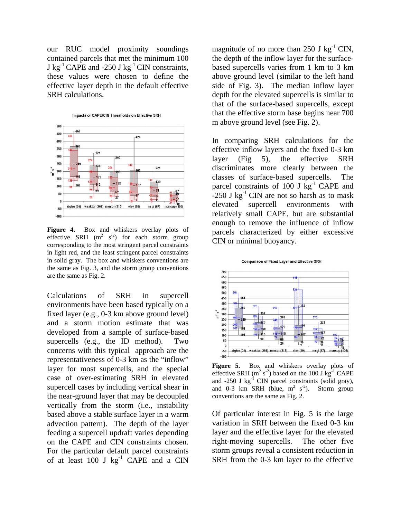our RUC model proximity soundings contained parcels that met the minimum 100 J kg<sup>-1</sup> CAPE and -250 J kg<sup>-1</sup> CIN constraints, these values were chosen to define the effective layer depth in the default effective SRH calculations.



**Figure 4.** Box and whiskers overlay plots of effective SRH  $(m^2 \text{ s}^{-2})$  for each storm group corresponding to the most stringent parcel constraints in light red, and the least stringent parcel constraints in solid gray. The box and whiskers conventions are the same as Fig. 3, and the storm group conventions are the same as Fig. 2.

Calculations of SRH in supercell environments have been based typically on a fixed layer (e.g., 0-3 km above ground level) and a storm motion estimate that was developed from a sample of surface-based supercells (e.g., the ID method). Two concerns with this typical approach are the representativeness of 0-3 km as the "inflow" layer for most supercells, and the special case of over-estimating SRH in elevated supercell cases by including vertical shear in the near-ground layer that may be decoupled vertically from the storm (i.e., instability based above a stable surface layer in a warm advection pattern). The depth of the layer feeding a supercell updraft varies depending on the CAPE and CIN constraints chosen. For the particular default parcel constraints of at least 100 J  $kg^{-1}$  CAPE and a CIN

magnitude of no more than 250 J  $kg^{-1}$  CIN, the depth of the inflow layer for the surfacebased supercells varies from 1 km to 3 km above ground level (similar to the left hand side of Fig. 3). The median inflow layer depth for the elevated supercells is similar to that of the surface-based supercells, except that the effective storm base begins near 700 m above ground level (see Fig. 2).

In comparing SRH calculations for the effective inflow layers and the fixed 0-3 km layer (Fig 5), the effective SRH discriminates more clearly between the classes of surface-based supercells. The parcel constraints of 100 J  $\text{kg}^{-1}$  CAPE and  $-250$  J kg<sup>-1</sup> CIN are not so harsh as to mask elevated supercell environments with relatively small CAPE, but are substantial enough to remove the influence of inflow parcels characterized by either excessive CIN or minimal buoyancy.





**Figure 5.** Box and whiskers overlay plots of effective SRH ( $m^2$  s<sup>-2</sup>) based on the 100 J kg<sup>-1</sup> CAPE and  $-250$  J kg<sup>-1</sup> CIN parcel constraints (solid gray), and 0-3 km SRH (blue,  $m^2$  s<sup>-2</sup>). Storm group conventions are the same as Fig. 2.

Of particular interest in Fig. 5 is the large variation in SRH between the fixed 0-3 km layer and the effective layer for the elevated right-moving supercells. The other five storm groups reveal a consistent reduction in SRH from the 0-3 km layer to the effective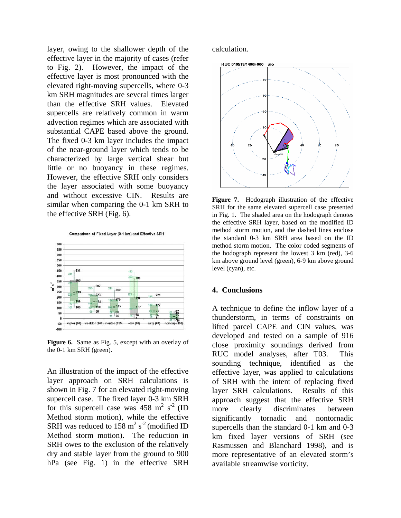layer, owing to the shallower depth of the effective layer in the majority of cases (refer to Fig. 2). However, the impact of the effective layer is most pronounced with the elevated right-moving supercells, where 0-3 km SRH magnitudes are several times larger than the effective SRH values. Elevated supercells are relatively common in warm advection regimes which are associated with substantial CAPE based above the ground. The fixed 0-3 km layer includes the impact of the near-ground layer which tends to be characterized by large vertical shear but little or no buoyancy in these regimes. However, the effective SRH only considers the layer associated with some buoyancy and without excessive CIN. Results are similar when comparing the 0-1 km SRH to the effective SRH (Fig. 6).

Comparison of Fixed Layer (0-1 km) and Effective SRH



**Figure 6.** Same as Fig. 5, except with an overlay of the 0-1 km SRH (green).

An illustration of the impact of the effective layer approach on SRH calculations is shown in Fig. 7 for an elevated right-moving supercell case. The fixed layer 0-3 km SRH for this supercell case was  $458 \text{ m}^2 \text{ s}^{-2}$  (ID Method storm motion), while the effective SRH was reduced to  $158 \text{ m}^2 \text{ s}^{-2}$  (modified ID Method storm motion). The reduction in SRH owes to the exclusion of the relatively dry and stable layer from the ground to 900 hPa (see Fig. 1) in the effective SRH

calculation.



**Figure 7.** Hodograph illustration of the effective SRH for the same elevated supercell case presented in Fig. 1. The shaded area on the hodograph denotes the effective SRH layer, based on the modified ID method storm motion, and the dashed lines enclose the standard 0-3 km SRH area based on the ID method storm motion. The color coded segments of the hodograph represent the lowest 3 km (red), 3-6 km above ground level (green), 6-9 km above ground level (cyan), etc.

#### **4. Conclusions**

A technique to define the inflow layer of a thunderstorm, in terms of constraints on lifted parcel CAPE and CIN values, was developed and tested on a sample of 916 close proximity soundings derived from RUC model analyses, after T03. This sounding technique, identified as the effective layer, was applied to calculations of SRH with the intent of replacing fixed layer SRH calculations. Results of this approach suggest that the effective SRH more clearly discriminates between significantly tornadic and nontornadic supercells than the standard 0-1 km and 0-3 km fixed layer versions of SRH (see Rasmussen and Blanchard 1998), and is more representative of an elevated storm's available streamwise vorticity.